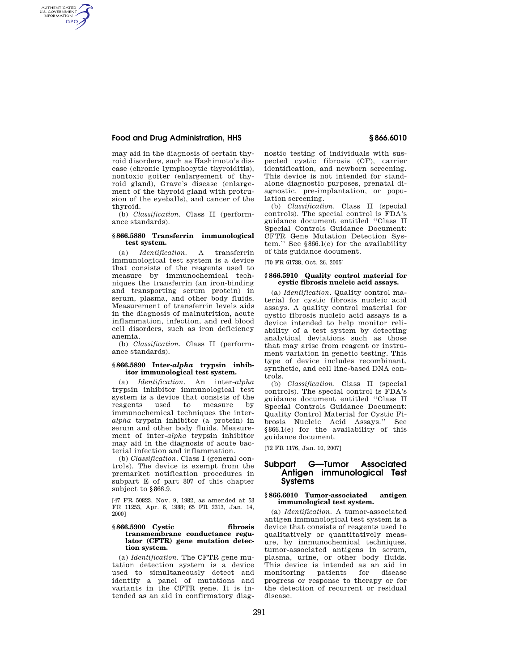# **Food and Drug Administration, HHS § 866.6010**

AUTHENTICATED<br>U.S. GOVERNMENT<br>INFORMATION **GPO** 

> may aid in the diagnosis of certain thyroid disorders, such as Hashimoto's disease (chronic lymphocytic thyroiditis), nontoxic goiter (enlargement of thyroid gland), Grave's disease (enlargement of the thyroid gland with protrusion of the eyeballs), and cancer of the thyroid.

> (b) *Classification.* Class II (performance standards).

## **§ 866.5880 Transferrin immunological test system.**

(a) *Identification.* A transferrin immunological test system is a device that consists of the reagents used to measure by immunochemical techniques the transferrin (an iron-binding and transporting serum protein) in serum, plasma, and other body fluids. Measurement of transferrin levels aids in the diagnosis of malnutrition, acute inflammation, infection, and red blood cell disorders, such as iron deficiency anemia.

(b) *Classification.* Class II (performance standards).

# **§ 866.5890 Inter-***alpha* **trypsin inhibitor immunological test system.**

(a) *Identification.* An inter-*alpha*  trypsin inhibitor immunological test system is a device that consists of the<br>reagents used to measure by reagents used to measure immunochemical techniques the inter*alpha* trypsin inhibitor (a protein) in serum and other body fluids. Measurement of inter-*alpha* trypsin inhibitor may aid in the diagnosis of acute bacterial infection and inflammation.

(b) *Classification.* Class I (general controls). The device is exempt from the premarket notification procedures in subpart E of part 807 of this chapter subject to §866.9.

[47 FR 50823, Nov. 9, 1982, as amended at 53 FR 11253, Apr. 6, 1988; 65 FR 2313, Jan. 14, 2000]

#### **§ 866.5900 Cystic fibrosis transmembrane conductance regulator (CFTR) gene mutation detection system.**

(a) *Identification*. The CFTR gene mutation detection system is a device used to simultaneously detect and identify a panel of mutations and variants in the CFTR gene. It is intended as an aid in confirmatory diagnostic testing of individuals with suspected cystic fibrosis (CF), carrier identification, and newborn screening. This device is not intended for standalone diagnostic purposes, prenatal diagnostic, pre-implantation, or population screening.

(b) *Classification*. Class II (special controls). The special control is FDA's guidance document entitled ''Class II Special Controls Guidance Document: CFTR Gene Mutation Detection System.'' See §866.1(e) for the availability of this guidance document.

[70 FR 61738, Oct. 26, 2005]

#### **§ 866.5910 Quality control material for cystic fibrosis nucleic acid assays.**

(a) *Identification*. Quality control material for cystic fibrosis nucleic acid assays. A quality control material for cystic fibrosis nucleic acid assays is a device intended to help monitor reliability of a test system by detecting analytical deviations such as those that may arise from reagent or instrument variation in genetic testing. This type of device includes recombinant, synthetic, and cell line-based DNA controls.

(b) *Classification*. Class II (special controls). The special control is FDA's guidance document entitled ''Class II Special Controls Guidance Document: Quality Control Material for Cystic Fibrosis Nucleic Acid Assays.'' See §866.1(e) for the availability of this guidance document.

[72 FR 1176, Jan. 10, 2007]

# **Subpart G—Tumor Associated Antigen immunological Test Systems**

# **§ 866.6010 Tumor-associated antigen immunological test system.**

(a) *Identification.* A tumor-associated antigen immunological test system is a device that consists of reagents used to qualitatively or quantitatively measure, by immunochemical techniques, tumor-associated antigens in serum, plasma, urine, or other body fluids. This device is intended as an aid in<br>monitoring patients for disease patients for disease progress or response to therapy or for the detection of recurrent or residual disease.